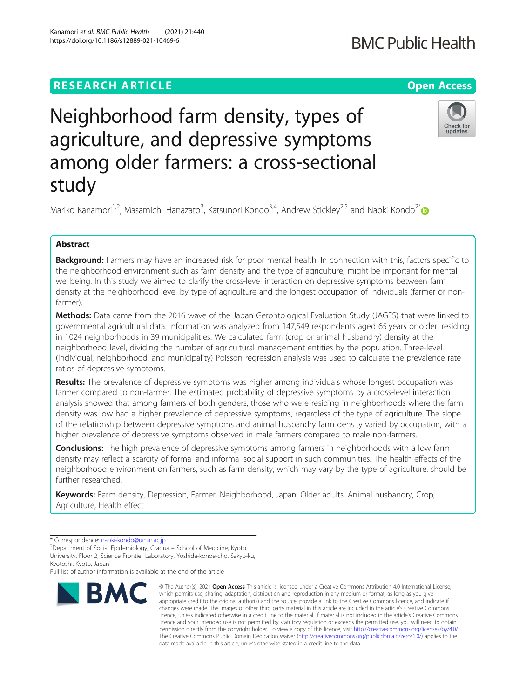# **RESEARCH ARTICLE Example 2014 12:30 The Contract of Contract ACCESS**

# Neighborhood farm density, types of agriculture, and depressive symptoms among older farmers: a cross-sectional study

Mariko Kanamori<sup>1,2</sup>, Masamichi Hanazato<sup>3</sup>, Katsunori Kondo<sup>3,4</sup>, Andrew Stickley<sup>2,5</sup> and Naoki Kondo<sup>2\*</sup>

# Abstract

Background: Farmers may have an increased risk for poor mental health. In connection with this, factors specific to the neighborhood environment such as farm density and the type of agriculture, might be important for mental wellbeing. In this study we aimed to clarify the cross-level interaction on depressive symptoms between farm density at the neighborhood level by type of agriculture and the longest occupation of individuals (farmer or nonfarmer).

Methods: Data came from the 2016 wave of the Japan Gerontological Evaluation Study (JAGES) that were linked to governmental agricultural data. Information was analyzed from 147,549 respondents aged 65 years or older, residing in 1024 neighborhoods in 39 municipalities. We calculated farm (crop or animal husbandry) density at the neighborhood level, dividing the number of agricultural management entities by the population. Three-level (individual, neighborhood, and municipality) Poisson regression analysis was used to calculate the prevalence rate ratios of depressive symptoms.

Results: The prevalence of depressive symptoms was higher among individuals whose longest occupation was farmer compared to non-farmer. The estimated probability of depressive symptoms by a cross-level interaction analysis showed that among farmers of both genders, those who were residing in neighborhoods where the farm density was low had a higher prevalence of depressive symptoms, regardless of the type of agriculture. The slope of the relationship between depressive symptoms and animal husbandry farm density varied by occupation, with a higher prevalence of depressive symptoms observed in male farmers compared to male non-farmers.

**Conclusions:** The high prevalence of depressive symptoms among farmers in neighborhoods with a low farm density may reflect a scarcity of formal and informal social support in such communities. The health effects of the neighborhood environment on farmers, such as farm density, which may vary by the type of agriculture, should be further researched.

Keywords: Farm density, Depression, Farmer, Neighborhood, Japan, Older adults, Animal husbandry, Crop, Agriculture, Health effect

**BMC** 

Full list of author information is available at the end of the article

## © The Author(s), 2021 **Open Access** This article is licensed under a Creative Commons Attribution 4.0 International License, which permits use, sharing, adaptation, distribution and reproduction in any medium or format, as long as you give appropriate credit to the original author(s) and the source, provide a link to the Creative Commons licence, and indicate if changes were made. The images or other third party material in this article are included in the article's Creative Commons licence, unless indicated otherwise in a credit line to the material. If material is not included in the article's Creative Commons licence and your intended use is not permitted by statutory regulation or exceeds the permitted use, you will need to obtain permission directly from the copyright holder. To view a copy of this licence, visit [http://creativecommons.org/licenses/by/4.0/.](http://creativecommons.org/licenses/by/4.0/) The Creative Commons Public Domain Dedication waiver [\(http://creativecommons.org/publicdomain/zero/1.0/](http://creativecommons.org/publicdomain/zero/1.0/)) applies to the data made available in this article, unless otherwise stated in a credit line to the data.

Kanamori et al. BMC Public Health (2021) 21:440 https://doi.org/10.1186/s12889-021-10469-6





<sup>\*</sup> Correspondence: [naoki-kondo@umin.ac.jp](mailto:naoki-kondo@umin.ac.jp)<br><sup>2</sup>Department of Social Epidemiology, Graduate School of Medicine, Kyoto University, Floor 2, Science Frontier Laboratory, Yoshida-konoe-cho, Sakyo-ku, Kyotoshi, Kyoto, Japan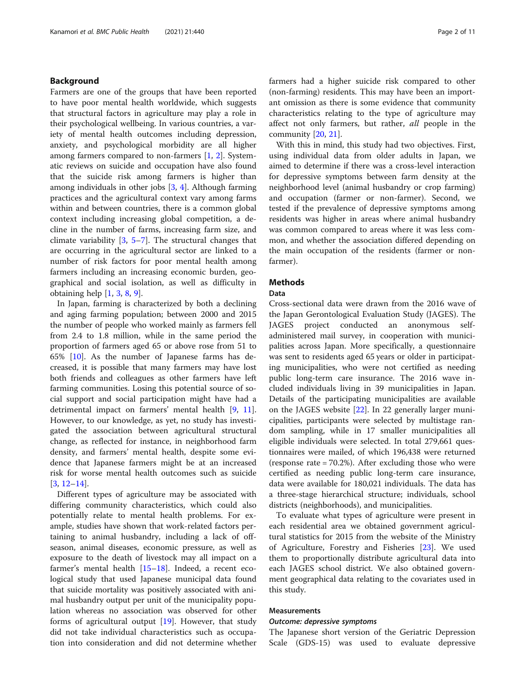# Background

Farmers are one of the groups that have been reported to have poor mental health worldwide, which suggests that structural factors in agriculture may play a role in their psychological wellbeing. In various countries, a variety of mental health outcomes including depression, anxiety, and psychological morbidity are all higher among farmers compared to non-farmers [\[1](#page-9-0), [2](#page-9-0)]. Systematic reviews on suicide and occupation have also found that the suicide risk among farmers is higher than among individuals in other jobs [[3](#page-9-0), [4\]](#page-9-0). Although farming practices and the agricultural context vary among farms within and between countries, there is a common global context including increasing global competition, a decline in the number of farms, increasing farm size, and climate variability [[3,](#page-9-0) [5](#page-9-0)–[7\]](#page-9-0). The structural changes that are occurring in the agricultural sector are linked to a number of risk factors for poor mental health among farmers including an increasing economic burden, geographical and social isolation, as well as difficulty in obtaining help [[1,](#page-9-0) [3,](#page-9-0) [8,](#page-9-0) [9\]](#page-9-0).

In Japan, farming is characterized by both a declining and aging farming population; between 2000 and 2015 the number of people who worked mainly as farmers fell from 2.4 to 1.8 million, while in the same period the proportion of farmers aged 65 or above rose from 51 to 65% [\[10\]](#page-9-0). As the number of Japanese farms has decreased, it is possible that many farmers may have lost both friends and colleagues as other farmers have left farming communities. Losing this potential source of social support and social participation might have had a detrimental impact on farmers' mental health [\[9,](#page-9-0) [11](#page-9-0)]. However, to our knowledge, as yet, no study has investigated the association between agricultural structural change, as reflected for instance, in neighborhood farm density, and farmers' mental health, despite some evidence that Japanese farmers might be at an increased risk for worse mental health outcomes such as suicide [[3,](#page-9-0) [12](#page-9-0)–[14](#page-9-0)].

Different types of agriculture may be associated with differing community characteristics, which could also potentially relate to mental health problems. For example, studies have shown that work-related factors pertaining to animal husbandry, including a lack of offseason, animal diseases, economic pressure, as well as exposure to the death of livestock may all impact on a farmer's mental health [[15](#page-9-0)–[18](#page-10-0)]. Indeed, a recent ecological study that used Japanese municipal data found that suicide mortality was positively associated with animal husbandry output per unit of the municipality population whereas no association was observed for other forms of agricultural output [[19](#page-10-0)]. However, that study did not take individual characteristics such as occupation into consideration and did not determine whether farmers had a higher suicide risk compared to other (non-farming) residents. This may have been an important omission as there is some evidence that community characteristics relating to the type of agriculture may affect not only farmers, but rather, all people in the community [[20](#page-10-0), [21](#page-10-0)].

With this in mind, this study had two objectives. First, using individual data from older adults in Japan, we aimed to determine if there was a cross-level interaction for depressive symptoms between farm density at the neighborhood level (animal husbandry or crop farming) and occupation (farmer or non-farmer). Second, we tested if the prevalence of depressive symptoms among residents was higher in areas where animal husbandry was common compared to areas where it was less common, and whether the association differed depending on the main occupation of the residents (farmer or nonfarmer).

# **Methods**

# Data

Cross-sectional data were drawn from the 2016 wave of the Japan Gerontological Evaluation Study (JAGES). The JAGES project conducted an anonymous selfadministered mail survey, in cooperation with municipalities across Japan. More specifically, a questionnaire was sent to residents aged 65 years or older in participating municipalities, who were not certified as needing public long-term care insurance. The 2016 wave included individuals living in 39 municipalities in Japan. Details of the participating municipalities are available on the JAGES website [[22\]](#page-10-0). In 22 generally larger municipalities, participants were selected by multistage random sampling, while in 17 smaller municipalities all eligible individuals were selected. In total 279,661 questionnaires were mailed, of which 196,438 were returned (response rate = 70.2%). After excluding those who were certified as needing public long-term care insurance, data were available for 180,021 individuals. The data has a three-stage hierarchical structure; individuals, school districts (neighborhoods), and municipalities.

To evaluate what types of agriculture were present in each residential area we obtained government agricultural statistics for 2015 from the website of the Ministry of Agriculture, Forestry and Fisheries [\[23](#page-10-0)]. We used them to proportionally distribute agricultural data into each JAGES school district. We also obtained government geographical data relating to the covariates used in this study.

# Measurements

# Outcome: depressive symptoms

The Japanese short version of the Geriatric Depression Scale (GDS-15) was used to evaluate depressive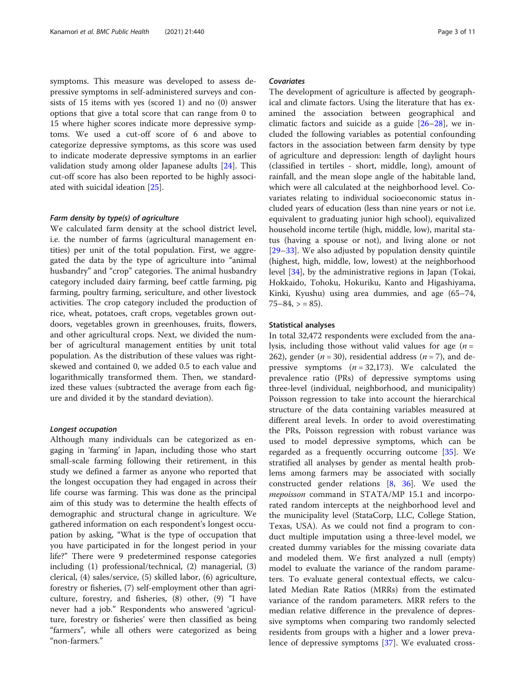symptoms. This measure was developed to assess depressive symptoms in self-administered surveys and consists of 15 items with yes (scored 1) and no (0) answer options that give a total score that can range from 0 to 15 where higher scores indicate more depressive symptoms. We used a cut-off score of 6 and above to categorize depressive symptoms, as this score was used to indicate moderate depressive symptoms in an earlier validation study among older Japanese adults [\[24](#page-10-0)]. This cut-off score has also been reported to be highly associated with suicidal ideation [\[25](#page-10-0)].

# Farm density by type(s) of agriculture

We calculated farm density at the school district level, i.e. the number of farms (agricultural management entities) per unit of the total population. First, we aggregated the data by the type of agriculture into "animal husbandry" and "crop" categories. The animal husbandry category included dairy farming, beef cattle farming, pig farming, poultry farming, sericulture, and other livestock activities. The crop category included the production of rice, wheat, potatoes, craft crops, vegetables grown outdoors, vegetables grown in greenhouses, fruits, flowers, and other agricultural crops. Next, we divided the number of agricultural management entities by unit total population. As the distribution of these values was rightskewed and contained 0, we added 0.5 to each value and logarithmically transformed them. Then, we standardized these values (subtracted the average from each figure and divided it by the standard deviation).

#### Longest occupation

Although many individuals can be categorized as engaging in 'farming' in Japan, including those who start small-scale farming following their retirement, in this study we defined a farmer as anyone who reported that the longest occupation they had engaged in across their life course was farming. This was done as the principal aim of this study was to determine the health effects of demographic and structural change in agriculture. We gathered information on each respondent's longest occupation by asking, "What is the type of occupation that you have participated in for the longest period in your life?" There were 9 predetermined response categories including (1) professional/technical, (2) managerial, (3) clerical, (4) sales/service, (5) skilled labor, (6) agriculture, forestry or fisheries, (7) self-employment other than agriculture, forestry, and fisheries, (8) other, (9) "I have never had a job." Respondents who answered 'agriculture, forestry or fisheries' were then classified as being "farmers", while all others were categorized as being "non-farmers."

# Covariates

The development of agriculture is affected by geographical and climate factors. Using the literature that has examined the association between geographical and climatic factors and suicide as a guide [\[26](#page-10-0)–[28\]](#page-10-0), we included the following variables as potential confounding factors in the association between farm density by type of agriculture and depression: length of daylight hours (classified in tertiles - short, middle, long), amount of rainfall, and the mean slope angle of the habitable land, which were all calculated at the neighborhood level. Covariates relating to individual socioeconomic status included years of education (less than nine years or not i.e. equivalent to graduating junior high school), equivalized household income tertile (high, middle, low), marital status (having a spouse or not), and living alone or not [[29](#page-10-0)–[33](#page-10-0)]. We also adjusted by population density quintile (highest, high, middle, low, lowest) at the neighborhood level [[34\]](#page-10-0), by the administrative regions in Japan (Tokai, Hokkaido, Tohoku, Hokuriku, Kanto and Higashiyama, Kinki, Kyushu) using area dummies, and age (65–74,  $75-84$ ,  $> 85$ ).

# Statistical analyses

In total 32,472 respondents were excluded from the analysis, including those without valid values for age  $(n =$ 262), gender ( $n = 30$ ), residential address ( $n = 7$ ), and depressive symptoms  $(n = 32,173)$ . We calculated the prevalence ratio (PRs) of depressive symptoms using three-level (individual, neighborhood, and municipality) Poisson regression to take into account the hierarchical structure of the data containing variables measured at different areal levels. In order to avoid overestimating the PRs, Poisson regression with robust variance was used to model depressive symptoms, which can be regarded as a frequently occurring outcome [[35\]](#page-10-0). We stratified all analyses by gender as mental health problems among farmers may be associated with socially constructed gender relations [[8,](#page-9-0) [36](#page-10-0)]. We used the mepoisson command in STATA/MP 15.1 and incorporated random intercepts at the neighborhood level and the municipality level (StataCorp, LLC, College Station, Texas, USA). As we could not find a program to conduct multiple imputation using a three-level model, we created dummy variables for the missing covariate data and modeled them. We first analyzed a null (empty) model to evaluate the variance of the random parameters. To evaluate general contextual effects, we calculated Median Rate Ratios (MRRs) from the estimated variance of the random parameters. MRR refers to the median relative difference in the prevalence of depressive symptoms when comparing two randomly selected residents from groups with a higher and a lower prevalence of depressive symptoms [\[37](#page-10-0)]. We evaluated cross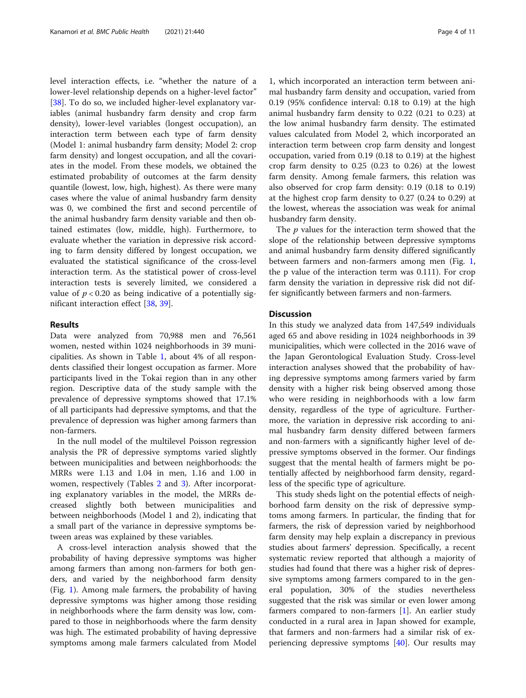level interaction effects, i.e. "whether the nature of a lower-level relationship depends on a higher-level factor" [[38\]](#page-10-0). To do so, we included higher-level explanatory variables (animal husbandry farm density and crop farm density), lower-level variables (longest occupation), an interaction term between each type of farm density (Model 1: animal husbandry farm density; Model 2: crop farm density) and longest occupation, and all the covariates in the model. From these models, we obtained the estimated probability of outcomes at the farm density quantile (lowest, low, high, highest). As there were many cases where the value of animal husbandry farm density was 0, we combined the first and second percentile of the animal husbandry farm density variable and then obtained estimates (low, middle, high). Furthermore, to evaluate whether the variation in depressive risk according to farm density differed by longest occupation, we evaluated the statistical significance of the cross-level interaction term. As the statistical power of cross-level interaction tests is severely limited, we considered a value of  $p < 0.20$  as being indicative of a potentially significant interaction effect [[38,](#page-10-0) [39\]](#page-10-0).

# Results

Data were analyzed from 70,988 men and 76,561 women, nested within 1024 neighborhoods in 39 municipalities. As shown in Table [1](#page-4-0), about 4% of all respondents classified their longest occupation as farmer. More participants lived in the Tokai region than in any other region. Descriptive data of the study sample with the prevalence of depressive symptoms showed that 17.1% of all participants had depressive symptoms, and that the prevalence of depression was higher among farmers than non-farmers.

In the null model of the multilevel Poisson regression analysis the PR of depressive symptoms varied slightly between municipalities and between neighborhoods: the MRRs were 1.13 and 1.04 in men, 1.16 and 1.00 in women, respectively (Tables [2](#page-6-0) and [3](#page-7-0)). After incorporating explanatory variables in the model, the MRRs decreased slightly both between municipalities and between neighborhoods (Model 1 and 2), indicating that a small part of the variance in depressive symptoms between areas was explained by these variables.

A cross-level interaction analysis showed that the probability of having depressive symptoms was higher among farmers than among non-farmers for both genders, and varied by the neighborhood farm density (Fig. [1](#page-8-0)). Among male farmers, the probability of having depressive symptoms was higher among those residing in neighborhoods where the farm density was low, compared to those in neighborhoods where the farm density was high. The estimated probability of having depressive symptoms among male farmers calculated from Model

1, which incorporated an interaction term between animal husbandry farm density and occupation, varied from 0.19 (95% confidence interval: 0.18 to 0.19) at the high animal husbandry farm density to 0.22 (0.21 to 0.23) at the low animal husbandry farm density. The estimated values calculated from Model 2, which incorporated an interaction term between crop farm density and longest occupation, varied from 0.19 (0.18 to 0.19) at the highest crop farm density to 0.25 (0.23 to 0.26) at the lowest farm density. Among female farmers, this relation was also observed for crop farm density: 0.19 (0.18 to 0.19) at the highest crop farm density to 0.27 (0.24 to 0.29) at the lowest, whereas the association was weak for animal husbandry farm density.

The  $p$  values for the interaction term showed that the slope of the relationship between depressive symptoms and animal husbandry farm density differed significantly between farmers and non-farmers among men (Fig. [1](#page-8-0), the p value of the interaction term was 0.111). For crop farm density the variation in depressive risk did not differ significantly between farmers and non-farmers.

# **Discussion**

In this study we analyzed data from 147,549 individuals aged 65 and above residing in 1024 neighborhoods in 39 municipalities, which were collected in the 2016 wave of the Japan Gerontological Evaluation Study. Cross-level interaction analyses showed that the probability of having depressive symptoms among farmers varied by farm density with a higher risk being observed among those who were residing in neighborhoods with a low farm density, regardless of the type of agriculture. Furthermore, the variation in depressive risk according to animal husbandry farm density differed between farmers and non-farmers with a significantly higher level of depressive symptoms observed in the former. Our findings suggest that the mental health of farmers might be potentially affected by neighborhood farm density, regardless of the specific type of agriculture.

This study sheds light on the potential effects of neighborhood farm density on the risk of depressive symptoms among farmers. In particular, the finding that for farmers, the risk of depression varied by neighborhood farm density may help explain a discrepancy in previous studies about farmers' depression. Specifically, a recent systematic review reported that although a majority of studies had found that there was a higher risk of depressive symptoms among farmers compared to in the general population, 30% of the studies nevertheless suggested that the risk was similar or even lower among farmers compared to non-farmers [[1](#page-9-0)]. An earlier study conducted in a rural area in Japan showed for example, that farmers and non-farmers had a similar risk of experiencing depressive symptoms [[40\]](#page-10-0). Our results may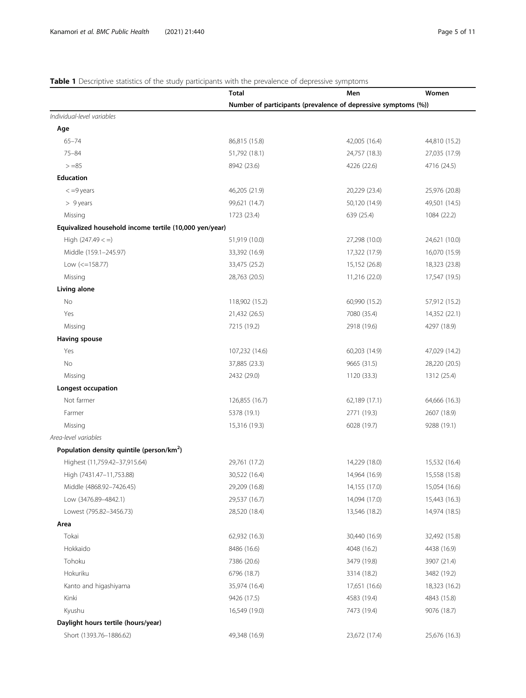# <span id="page-4-0"></span>Table 1 Descriptive statistics of the study participants with the prevalence of depressive symptoms

|                                                        | Total          | Men                                                            | Women         |
|--------------------------------------------------------|----------------|----------------------------------------------------------------|---------------|
|                                                        |                | Number of participants (prevalence of depressive symptoms (%)) |               |
| Individual-level variables                             |                |                                                                |               |
| Age                                                    |                |                                                                |               |
| $65 - 74$                                              | 86,815 (15.8)  | 42,005 (16.4)                                                  | 44,810 (15.2) |
| $75 - 84$                                              | 51,792 (18.1)  | 24,757 (18.3)                                                  | 27,035 (17.9) |
| $> = 85$                                               | 8942 (23.6)    | 4226 (22.6)                                                    | 4716 (24.5)   |
| <b>Education</b>                                       |                |                                                                |               |
| $< =9$ years                                           | 46,205 (21.9)  | 20,229 (23.4)                                                  | 25,976 (20.8) |
| $> 9$ years                                            | 99,621 (14.7)  | 50,120 (14.9)                                                  | 49,501 (14.5) |
| Missing                                                | 1723 (23.4)    | 639 (25.4)                                                     | 1084 (22.2)   |
| Equivalized household income tertile (10,000 yen/year) |                |                                                                |               |
| High $(247.49 <$ =)                                    | 51,919 (10.0)  | 27,298 (10.0)                                                  | 24,621 (10.0) |
| Middle (159.1-245.97)                                  | 33,392 (16.9)  | 17,322 (17.9)                                                  | 16,070 (15.9) |
| Low $(<=158.77)$                                       | 33,475 (25.2)  | 15,152 (26.8)                                                  | 18,323 (23.8) |
| Missing                                                | 28,763 (20.5)  | 11,216 (22.0)                                                  | 17,547 (19.5) |
| Living alone                                           |                |                                                                |               |
| No                                                     | 118,902 (15.2) | 60,990 (15.2)                                                  | 57,912 (15.2) |
| Yes                                                    | 21,432 (26.5)  | 7080 (35.4)                                                    | 14,352 (22.1) |
| Missing                                                | 7215 (19.2)    | 2918 (19.6)                                                    | 4297 (18.9)   |
| Having spouse                                          |                |                                                                |               |
| Yes                                                    | 107,232 (14.6) | 60,203 (14.9)                                                  | 47,029 (14.2) |
| No                                                     | 37,885 (23.3)  | 9665 (31.5)                                                    | 28,220 (20.5) |
| Missing                                                | 2432 (29.0)    | 1120 (33.3)                                                    | 1312 (25.4)   |
| Longest occupation                                     |                |                                                                |               |
| Not farmer                                             | 126,855 (16.7) | 62,189 (17.1)                                                  | 64,666 (16.3) |
| Farmer                                                 | 5378 (19.1)    | 2771 (19.3)                                                    | 2607 (18.9)   |
| Missing                                                | 15,316 (19.3)  | 6028 (19.7)                                                    | 9288 (19.1)   |
| Area-level variables                                   |                |                                                                |               |
| Population density quintile (person/km <sup>2</sup> )  |                |                                                                |               |
| Highest (11,759.42-37,915.64)                          | 29,761 (17.2)  | 14,229 (18.0)                                                  | 15,532 (16.4) |
| High (7431.47-11,753.88)                               | 30,522 (16.4)  | 14,964 (16.9)                                                  | 15,558 (15.8) |
| Middle (4868.92-7426.45)                               | 29,209 (16.8)  | 14,155 (17.0)                                                  | 15,054 (16.6) |
| Low (3476.89-4842.1)                                   | 29,537 (16.7)  | 14,094 (17.0)                                                  | 15,443 (16.3) |
| Lowest (795.82-3456.73)                                | 28,520 (18.4)  | 13,546 (18.2)                                                  | 14,974 (18.5) |
| Area                                                   |                |                                                                |               |
| Tokai                                                  | 62,932 (16.3)  | 30,440 (16.9)                                                  | 32,492 (15.8) |
| Hokkaido                                               | 8486 (16.6)    | 4048 (16.2)                                                    | 4438 (16.9)   |
| Tohoku                                                 | 7386 (20.6)    | 3479 (19.8)                                                    | 3907 (21.4)   |
| Hokuriku                                               | 6796 (18.7)    | 3314 (18.2)                                                    | 3482 (19.2)   |
| Kanto and higashiyama                                  | 35,974 (16.4)  | 17,651 (16.6)                                                  | 18,323 (16.2) |
| Kinki                                                  | 9426 (17.5)    | 4583 (19.4)                                                    | 4843 (15.8)   |
| Kyushu                                                 | 16,549 (19.0)  | 7473 (19.4)                                                    | 9076 (18.7)   |
| Daylight hours tertile (hours/year)                    |                |                                                                |               |
| Short (1393.76-1886.62)                                | 49,348 (16.9)  | 23,672 (17.4)                                                  | 25,676 (16.3) |
|                                                        |                |                                                                |               |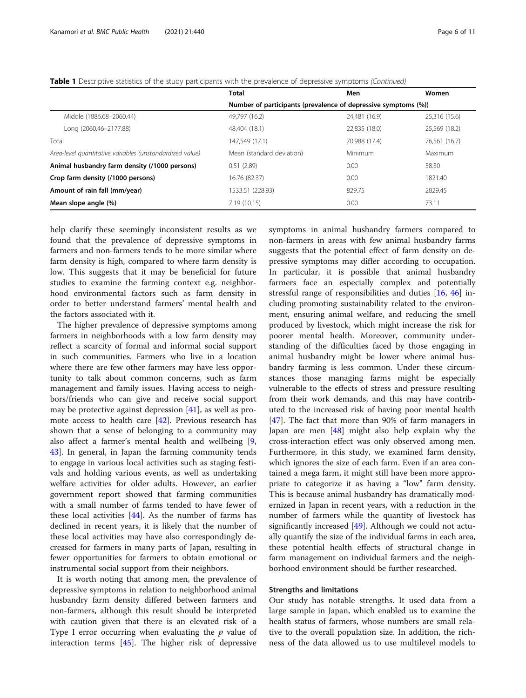|                                                          | <b>Total</b>                                                   | Men           | Women         |  |
|----------------------------------------------------------|----------------------------------------------------------------|---------------|---------------|--|
|                                                          | Number of participants (prevalence of depressive symptoms (%)) |               |               |  |
| Middle (1886.68-2060.44)                                 | 49,797 (16.2)                                                  | 24,481 (16.9) | 25,316 (15.6) |  |
| Long (2060.46-2177.88)                                   | 48,404 (18.1)                                                  | 22,835 (18.0) | 25,569 (18.2) |  |
| Total                                                    | 147.549 (17.1)                                                 | 70,988 (17.4) | 76,561 (16.7) |  |
| Area-level quantitative variables (unstandardized value) | Mean (standard deviation)                                      | Minimum       | Maximum       |  |
| Animal husbandry farm density (/1000 persons)            | 0.51(2.89)                                                     | 0.00          | 58.30         |  |
| Crop farm density (/1000 persons)                        | 16.76 (82.37)                                                  | 0.00          | 1821.40       |  |
| Amount of rain fall (mm/year)                            | 1533.51 (228.93)                                               | 829.75        | 2829.45       |  |
| Mean slope angle (%)                                     | 7.19(10.15)                                                    | 0.00          | 73.11         |  |

Table 1 Descriptive statistics of the study participants with the prevalence of depressive symptoms (Continued)

help clarify these seemingly inconsistent results as we found that the prevalence of depressive symptoms in farmers and non-farmers tends to be more similar where farm density is high, compared to where farm density is low. This suggests that it may be beneficial for future studies to examine the farming context e.g. neighborhood environmental factors such as farm density in order to better understand farmers' mental health and the factors associated with it.

The higher prevalence of depressive symptoms among farmers in neighborhoods with a low farm density may reflect a scarcity of formal and informal social support in such communities. Farmers who live in a location where there are few other farmers may have less opportunity to talk about common concerns, such as farm management and family issues. Having access to neighbors/friends who can give and receive social support may be protective against depression [[41](#page-10-0)], as well as promote access to health care [\[42](#page-10-0)]. Previous research has shown that a sense of belonging to a community may also affect a farmer's mental health and wellbeing [\[9](#page-9-0), [43\]](#page-10-0). In general, in Japan the farming community tends to engage in various local activities such as staging festivals and holding various events, as well as undertaking welfare activities for older adults. However, an earlier government report showed that farming communities with a small number of farms tended to have fewer of these local activities  $[44]$  $[44]$ . As the number of farms has declined in recent years, it is likely that the number of these local activities may have also correspondingly decreased for farmers in many parts of Japan, resulting in fewer opportunities for farmers to obtain emotional or instrumental social support from their neighbors.

It is worth noting that among men, the prevalence of depressive symptoms in relation to neighborhood animal husbandry farm density differed between farmers and non-farmers, although this result should be interpreted with caution given that there is an elevated risk of a Type I error occurring when evaluating the  $p$  value of interaction terms [\[45\]](#page-10-0). The higher risk of depressive symptoms in animal husbandry farmers compared to non-farmers in areas with few animal husbandry farms suggests that the potential effect of farm density on depressive symptoms may differ according to occupation. In particular, it is possible that animal husbandry farmers face an especially complex and potentially stressful range of responsibilities and duties [[16](#page-9-0), [46](#page-10-0)] including promoting sustainability related to the environment, ensuring animal welfare, and reducing the smell produced by livestock, which might increase the risk for poorer mental health. Moreover, community understanding of the difficulties faced by those engaging in animal husbandry might be lower where animal husbandry farming is less common. Under these circumstances those managing farms might be especially vulnerable to the effects of stress and pressure resulting from their work demands, and this may have contributed to the increased risk of having poor mental health [[47\]](#page-10-0). The fact that more than 90% of farm managers in Japan are men [\[48\]](#page-10-0) might also help explain why the cross-interaction effect was only observed among men. Furthermore, in this study, we examined farm density, which ignores the size of each farm. Even if an area contained a mega farm, it might still have been more appropriate to categorize it as having a "low" farm density. This is because animal husbandry has dramatically modernized in Japan in recent years, with a reduction in the number of farmers while the quantity of livestock has significantly increased [\[49\]](#page-10-0). Although we could not actually quantify the size of the individual farms in each area, these potential health effects of structural change in farm management on individual farmers and the neighborhood environment should be further researched.

# Strengths and limitations

Our study has notable strengths. It used data from a large sample in Japan, which enabled us to examine the health status of farmers, whose numbers are small relative to the overall population size. In addition, the richness of the data allowed us to use multilevel models to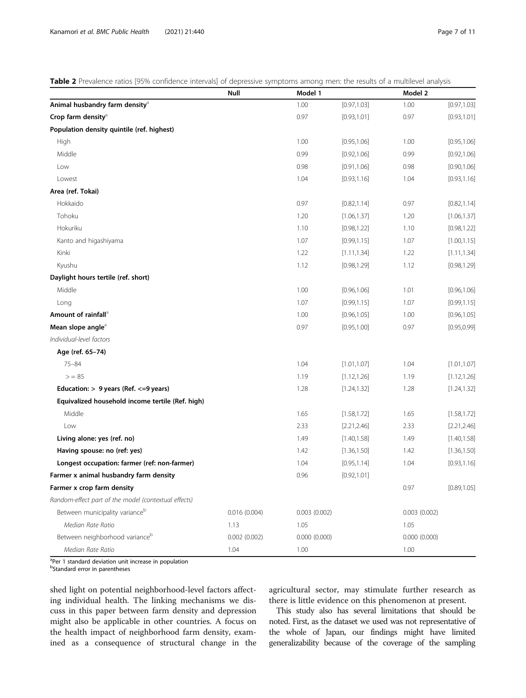<span id="page-6-0"></span>Table 2 Prevalence ratios [95% confidence intervals] of depressive symptoms among men: the results of a multilevel analysis

|                                                      | Null         | Model 1      |              | Model 2      |              |
|------------------------------------------------------|--------------|--------------|--------------|--------------|--------------|
| Animal husbandry farm density <sup>a</sup>           |              | 1.00         | [0.97, 1.03] | 1.00         | [0.97, 1.03] |
| Crop farm density <sup>a</sup>                       |              | 0.97         | [0.93, 1.01] | 0.97         | [0.93, 1.01] |
| Population density quintile (ref. highest)           |              |              |              |              |              |
| High                                                 |              | 1.00         | [0.95, 1.06] | 1.00         | [0.95, 1.06] |
| Middle                                               |              | 0.99         | [0.92, 1.06] | 0.99         | [0.92, 1.06] |
| Low                                                  |              | 0.98         | [0.91, 1.06] | 0.98         | [0.90, 1.06] |
| Lowest                                               |              | 1.04         | [0.93, 1.16] | 1.04         | [0.93, 1.16] |
| Area (ref. Tokai)                                    |              |              |              |              |              |
| Hokkaido                                             |              | 0.97         | [0.82, 1.14] | 0.97         | [0.82, 1.14] |
| Tohoku                                               |              | 1.20         | [1.06, 1.37] | 1.20         | [1.06, 1.37] |
| Hokuriku                                             |              | 1.10         | [0.98, 1.22] | 1.10         | [0.98, 1.22] |
| Kanto and higashiyama                                |              | 1.07         | [0.99, 1.15] | 1.07         | [1.00, 1.15] |
| Kinki                                                |              | 1.22         | [1.11, 1.34] | 1.22         | [1.11, 1.34] |
| Kyushu                                               |              | 1.12         | [0.98, 1.29] | 1.12         | [0.98, 1.29] |
| Daylight hours tertile (ref. short)                  |              |              |              |              |              |
| Middle                                               |              | 1.00         | [0.96, 1.06] | 1.01         | [0.96, 1.06] |
| Long                                                 |              | 1.07         | [0.99, 1.15] | 1.07         | [0.99, 1.15] |
| Amount of rainfall <sup>a</sup>                      |              | 1.00         | [0.96, 1.05] | 1.00         | [0.96, 1.05] |
| Mean slope angle <sup>a</sup>                        |              | 0.97         | [0.95, 1.00] | 0.97         | [0.95, 0.99] |
| Individual-level factors                             |              |              |              |              |              |
| Age (ref. 65-74)                                     |              |              |              |              |              |
| $75 - 84$                                            |              | 1.04         | [1.01, 1.07] | 1.04         | [1.01, 1.07] |
| > 85                                                 |              | 1.19         | [1.12, 1.26] | 1.19         | [1.12, 1.26] |
| Education: $> 9$ years (Ref. $<=9$ years)            |              | 1.28         | [1.24, 1.32] | 1.28         | [1.24, 1.32] |
| Equivalized household income tertile (Ref. high)     |              |              |              |              |              |
| Middle                                               |              | 1.65         | [1.58, 1.72] | 1.65         | [1.58, 1.72] |
| Low                                                  |              | 2.33         | [2.21, 2.46] | 2.33         | [2.21, 2.46] |
| Living alone: yes (ref. no)                          |              | 1.49         | [1.40, 1.58] | 1.49         | [1.40, 1.58] |
| Having spouse: no (ref: yes)                         |              | 1.42         | [1.36, 1.50] | 1.42         | [1.36, 1.50] |
| Longest occupation: farmer (ref: non-farmer)         |              | 1.04         | [0.95, 1.14] | 1.04         | [0.93, 1.16] |
| Farmer x animal husbandry farm density               |              | 0.96         | [0.92, 1.01] |              |              |
| Farmer x crop farm density                           |              |              |              | 0.97         | [0.89, 1.05] |
| Random-effect part of the model (contextual effects) |              |              |              |              |              |
| Between municipality variance <sup>b</sup>           | 0.016(0.004) | 0.003(0.002) |              | 0.003(0.002) |              |
| Median Rate Ratio                                    | 1.13         | 1.05         |              | 1.05         |              |
| Between neighborhood varianceb                       | 0.002(0.002) | 0.000(0.000) |              | 0.000(0.000) |              |
| Median Rate Ratio                                    | 1.04         | 1.00         |              | 1.00         |              |

<sup>a</sup>Per 1 standard deviation unit increase in population

<sup>b</sup>Standard error in parentheses

shed light on potential neighborhood-level factors affecting individual health. The linking mechanisms we discuss in this paper between farm density and depression might also be applicable in other countries. A focus on the health impact of neighborhood farm density, examined as a consequence of structural change in the agricultural sector, may stimulate further research as there is little evidence on this phenomenon at present.

This study also has several limitations that should be noted. First, as the dataset we used was not representative of the whole of Japan, our findings might have limited generalizability because of the coverage of the sampling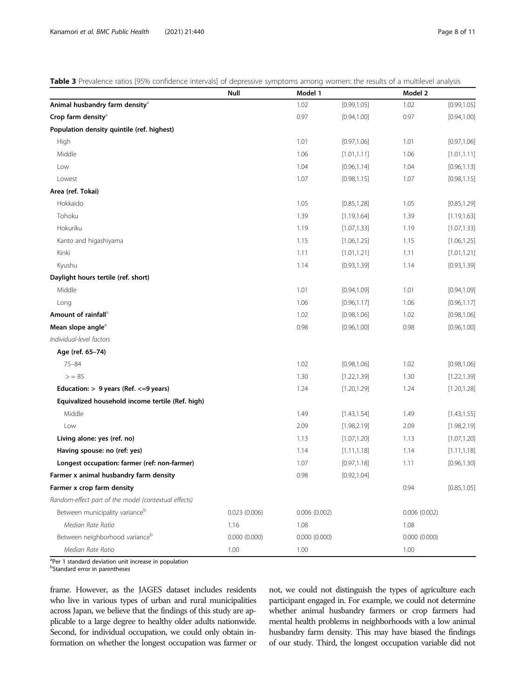<span id="page-7-0"></span>Table 3 Prevalence ratios [95% confidence intervals] of depressive symptoms among women: the results of a multilevel analysis

|                                                      | Null         | Model 1      |              | Model 2      |              |
|------------------------------------------------------|--------------|--------------|--------------|--------------|--------------|
| Animal husbandry farm density <sup>a</sup>           |              | 1.02         | [0.99, 1.05] | 1.02         | [0.99, 1.05] |
| Crop farm density <sup>a</sup>                       |              | 0.97         | [0.94, 1.00] | 0.97         | [0.94, 1.00] |
| Population density quintile (ref. highest)           |              |              |              |              |              |
| High                                                 |              | 1.01         | [0.97, 1.06] | 1.01         | [0.97, 1.06] |
| Middle                                               |              | 1.06         | [1.01, 1.11] | 1.06         | [1.01, 1.11] |
| Low                                                  |              | 1.04         | [0.96, 1.14] | 1.04         | [0.96, 1.13] |
| Lowest                                               |              | 1.07         | [0.98, 1.15] | 1.07         | [0.98, 1.15] |
| Area (ref. Tokai)                                    |              |              |              |              |              |
| Hokkaido                                             |              | 1.05         | [0.85, 1.28] | 1.05         | [0.85, 1.29] |
| Tohoku                                               |              | 1.39         | [1.19, 1.64] | 1.39         | [1.19, 1.63] |
| Hokuriku                                             |              | 1.19         | [1.07, 1.33] | 1.19         | [1.07, 1.33] |
| Kanto and higashiyama                                |              | 1.15         | [1.06, 1.25] | 1.15         | [1.06, 1.25] |
| Kinki                                                |              | 1.11         | [1.01, 1.21] | 1.11         | [1.01, 1.21] |
| Kyushu                                               |              | 1.14         | [0.93, 1.39] | 1.14         | [0.93, 1.39] |
| Daylight hours tertile (ref. short)                  |              |              |              |              |              |
| Middle                                               |              | 1.01         | [0.94, 1.09] | 1.01         | [0.94, 1.09] |
| Long                                                 |              | 1.06         | [0.96, 1.17] | 1.06         | [0.96, 1.17] |
| Amount of rainfall <sup>a</sup>                      |              | 1.02         | [0.98, 1.06] | 1.02         | [0.98, 1.06] |
| Mean slope angle <sup>a</sup>                        |              | 0.98         | [0.96, 1.00] | 0.98         | [0.96, 1.00] |
| Individual-level factors                             |              |              |              |              |              |
| Age (ref. 65-74)                                     |              |              |              |              |              |
| $75 - 84$                                            |              | 1.02         | [0.98, 1.06] | 1.02         | [0.98, 1.06] |
| > 85                                                 |              | 1.30         | [1.22, 1.39] | 1.30         | [1.22, 1.39] |
| Education: $> 9$ years (Ref. $<=9$ years)            |              | 1.24         | [1.20, 1.29] | 1.24         | [1.20, 1.28] |
| Equivalized household income tertile (Ref. high)     |              |              |              |              |              |
| Middle                                               |              | 1.49         | [1.43, 1.54] | 1.49         | [1.43, 1.55] |
| Low                                                  |              | 2.09         | [1.98, 2.19] | 2.09         | [1.98, 2.19] |
| Living alone: yes (ref. no)                          |              | 1.13         | [1.07, 1.20] | 1.13         | [1.07, 1.20] |
| Having spouse: no (ref: yes)                         |              | 1.14         | [1.11, 1.18] | 1.14         | [1.11, 1.18] |
| Longest occupation: farmer (ref: non-farmer)         |              | 1.07         | [0.97, 1.18] | 1.11         | [0.96, 1.30] |
| Farmer x animal husbandry farm density               |              | 0.98         | [0.92, 1.04] |              |              |
| Farmer x crop farm density                           |              |              |              | 0.94         | [0.85, 1.05] |
| Random-effect part of the model (contextual effects) |              |              |              |              |              |
| Between municipality variance <sup>b</sup>           | 0.023(0.006) | 0.006(0.002) |              | 0.006(0.002) |              |
| Median Rate Ratio                                    | 1.16         | 1.08         |              | 1.08         |              |
| Between neighborhood varianceb                       | 0.000(0.000) | 0.000(0.000) |              | 0.000(0.000) |              |
| Median Rate Ratio                                    | 1.00         | 1.00         |              | 1.00         |              |

<sup>a</sup>Per 1 standard deviation unit increase in population

<sup>b</sup>Standard error in parentheses

frame. However, as the JAGES dataset includes residents who live in various types of urban and rural municipalities across Japan, we believe that the findings of this study are applicable to a large degree to healthy older adults nationwide. Second, for individual occupation, we could only obtain information on whether the longest occupation was farmer or not, we could not distinguish the types of agriculture each participant engaged in. For example, we could not determine whether animal husbandry farmers or crop farmers had mental health problems in neighborhoods with a low animal husbandry farm density. This may have biased the findings of our study. Third, the longest occupation variable did not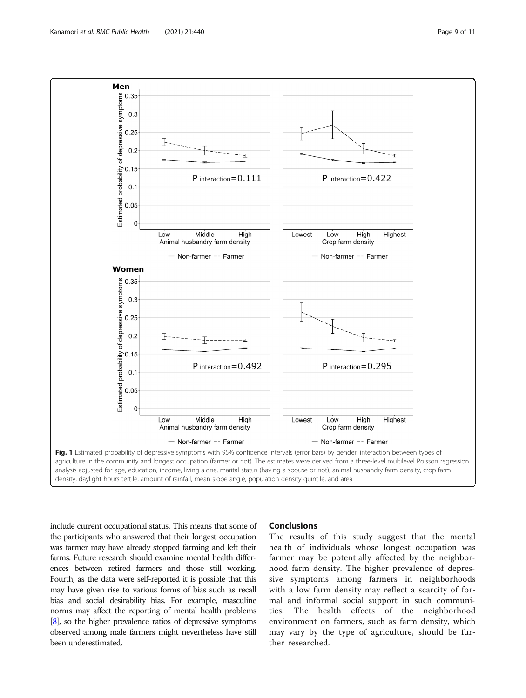<span id="page-8-0"></span>

include current occupational status. This means that some of the participants who answered that their longest occupation was farmer may have already stopped farming and left their farms. Future research should examine mental health differences between retired farmers and those still working. Fourth, as the data were self-reported it is possible that this may have given rise to various forms of bias such as recall bias and social desirability bias. For example, masculine norms may affect the reporting of mental health problems [[8](#page-9-0)], so the higher prevalence ratios of depressive symptoms observed among male farmers might nevertheless have still been underestimated.

# **Conclusions**

The results of this study suggest that the mental health of individuals whose longest occupation was farmer may be potentially affected by the neighborhood farm density. The higher prevalence of depressive symptoms among farmers in neighborhoods with a low farm density may reflect a scarcity of formal and informal social support in such communities. The health effects of the neighborhood environment on farmers, such as farm density, which may vary by the type of agriculture, should be further researched.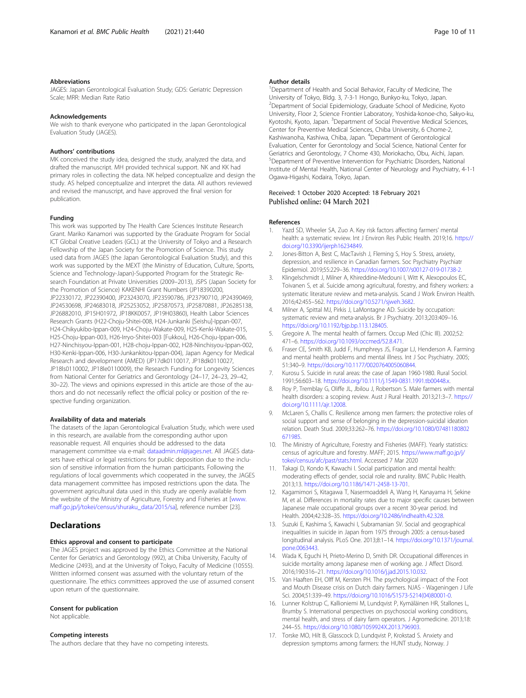# <span id="page-9-0"></span>Abbreviations

JAGES: Japan Gerontological Evaluation Study; GDS: Geriatric Depression Scale; MRR: Median Rate Ratio

# Acknowledgements

We wish to thank everyone who participated in the Japan Gerontological Evaluation Study (JAGES).

## Authors' contributions

MK conceived the study idea, designed the study, analyzed the data, and drafted the manuscript. MH provided technical support. NK and KK had primary roles in collecting the data. NK helped conceptualize and design the study. AS helped conceptualize and interpret the data. All authors reviewed and revised the manuscript, and have approved the final version for publication.

## Funding

This work was supported by The Health Care Sciences Institute Research Grant. Mariko Kanamori was supported by the Graduate Program for Social ICT Global Creative Leaders (GCL) at the University of Tokyo and a Research Fellowship of the Japan Society for the Promotion of Science. This study used data from JAGES (the Japan Gerontological Evaluation Study), and this work was supported by the MEXT (the Ministry of Education, Culture, Sports, Science and Technology-Japan)-Supported Program for the Strategic Research Foundation at Private Universities (2009–2013), JSPS (Japan Society for the Promotion of Science) KAKENHI Grant Numbers (JP18390200, JP22330172, JP22390400, JP23243070, JP23590786, JP23790710, JP24390469, JP24530698, JP24683018, JP25253052, JP25870573, JP25870881, JP26285138, JP26882010, JP15H01972, JP18KK0057, JP19H03860), Health Labor Sciences Research Grants (H22-Choju-Shitei-008, H24-Junkanki [Seishu]-Ippan-007, H24-Chikyukibo-Ippan-009, H24-Choju-Wakate-009, H25-Kenki-Wakate-015, H25-Choju-Ippan-003, H26-Irryo-Shitei-003 [Fukkou], H26-Choju-Ippan-006, H27-Ninchisyou-Ippan-001, H28-choju-Ippan-002, H28-Ninchisyou-Ippan-002, H30-Kenki-Ippan-006, H30-Junkankitou-Ippan-004), Japan Agency for Medical Research and development (AMED) (JP17dk0110017, JP18dk0110027, JP18ls0110002, JP18le0110009), the Research Funding for Longevity Sciences from National Center for Geriatrics and Gerontology (24–17, 24–23, 29–42, 30–22). The views and opinions expressed in this article are those of the authors and do not necessarily reflect the official policy or position of the respective funding organization.

#### Availability of data and materials

The datasets of the Japan Gerontological Evaluation Study, which were used in this research, are available from the corresponding author upon reasonable request. All enquiries should be addressed to the data management committee via e-mail: [dataadmin.ml@jages.net.](mailto:dataadmin.ml@jages.net) All JAGES datasets have ethical or legal restrictions for public deposition due to the inclusion of sensitive information from the human participants. Following the regulations of local governments which cooperated in the survey, the JAGES data management committee has imposed restrictions upon the data. The government agricultural data used in this study are openly available from the website of the Ministry of Agriculture, Forestry and Fisheries at [[www.](http://www.maff.go.jp/j/tokei/census/shuraku_data/2015/sa) [maff.go.jp/j/tokei/census/shuraku\\_data/2015/sa\]](http://www.maff.go.jp/j/tokei/census/shuraku_data/2015/sa), reference number [23].

# **Declarations**

# Ethics approval and consent to participate

The JAGES project was approved by the Ethics Committee at the National Center for Geriatrics and Gerontology (992), at Chiba University, Faculty of Medicine (2493), and at the University of Tokyo, Faculty of Medicine (10555). Written informed consent was assumed with the voluntary return of the questionnaire. The ethics committees approved the use of assumed consent upon return of the questionnaire.

# Consent for publication

Not applicable.

# Competing interests

The authors declare that they have no competing interests.

<sup>1</sup>Department of Health and Social Behavior, Faculty of Medicine, The University of Tokyo, Bldg. 3, 7-3-1 Hongo, Bunkyo-ku, Tokyo, Japan. <sup>2</sup>Department of Social Epidemiology, Graduate School of Medicine, Kyoto University, Floor 2, Science Frontier Laboratory, Yoshida-konoe-cho, Sakyo-ku, Kyotoshi, Kyoto, Japan. <sup>3</sup>Department of Social Preventive Medical Sciences Center for Preventive Medical Sciences, Chiba University, 6 Chome-2, Kashiwanoha, Kashiwa, Chiba, Japan. <sup>4</sup>Department of Gerontological Evaluation, Center for Gerontology and Social Science, National Center for Geriatrics and Gerontology, 7 Chome 430, Moriokacho, Obu, Aichi, Japan. 5 Department of Preventive Intervention for Psychiatric Disorders, National Institute of Mental Health, National Center of Neurology and Psychiatry, 4-1-1 Ogawa-Higashi, Kodaira, Tokyo, Japan.

# Received: 1 October 2020 Accepted: 18 February 2021 Published online: 04 March 2021

#### References

- Yazd SD, Wheeler SA, Zuo A. Key risk factors affecting farmers' mental health: a systematic review. Int J Environ Res Public Health. 2019;16. [https://](https://doi.org/10.3390/ijerph16234849) [doi.org/10.3390/ijerph16234849.](https://doi.org/10.3390/ijerph16234849)
- 2. Jones-Bitton A, Best C, MacTavish J, Fleming S, Hoy S. Stress, anxiety, depression, and resilience in Canadian farmers. Soc Psychiatry Psychiatr Epidemiol. 2019;55:229–36. <https://doi.org/10.1007/s00127-019-01738-2>.
- 3. Klingelschmidt J, Milner A, Khireddine-Medouni I, Witt K, Alexopoulos EC, Toivanen S, et al. Suicide among agricultural, forestry, and fishery workers: a systematic literature review and meta-analysis. Scand J Work Environ Health. 2016;42:455–562. <https://doi.org/10.5271/sjweh.3682>.
- 4. Milner A, Spittal MJ, Pirkis J, LaMontagne AD. Suicide by occupation: systematic review and meta-analysis. Br J Psychiatry. 2013;203:409–16. <https://doi.org/10.1192/bjp.bp.113.128405>.
- 5. Gregoire A. The mental health of farmers. Occup Med (Chic Ill). 2002;52: 471–6. [https://doi.org/10.1093/occmed/52.8.471.](https://doi.org/10.1093/occmed/52.8.471)
- 6. Fraser CE, Smith KB, Judd F, Humphreys JS, Fragar LJ, Henderson A. Farming and mental health problems and mental illness. Int J Soc Psychiatry. 2005; 51:340–9. <https://doi.org/10.1177/0020764005060844>.
- 7. Kurosu S. Suicide in rural areas: the case of Japan 1960-1980. Rural Sociol. 1991;56:603–18. <https://doi.org/10.1111/j.1549-0831.1991.tb00448.x>.
- 8. Roy P, Tremblay G, Oliffe JL, Jbilou J, Robertson S. Male farmers with mental health disorders: a scoping review. Aust J Rural Health. 2013;21:3–7. [https://](https://doi.org/10.1111/ajr.12008) [doi.org/10.1111/ajr.12008](https://doi.org/10.1111/ajr.12008).
- 9. McLaren S, Challis C. Resilience among men farmers: the protective roles of social support and sense of belonging in the depression-suicidal ideation relation. Death Stud. 2009;33:262–76. [https://doi.org/10.1080/07481180802](https://doi.org/10.1080/07481180802671985) [671985](https://doi.org/10.1080/07481180802671985).
- 10. The Ministry of Agriculture, Forestry and Fisheries (MAFF). Yearly statistics: census of agriculture and forestry. MAFF; 2015. [https://www.maff.go.jp/j/](https://www.maff.go.jp/j/tokei/census/afc/past/stats.html) [tokei/census/afc/past/stats.html.](https://www.maff.go.jp/j/tokei/census/afc/past/stats.html) Accessed 7 Mar 2020
- 11. Takagi D, Kondo K, Kawachi I. Social participation and mental health: moderating effects of gender, social role and rurality. BMC Public Health. 2013;13. [https://doi.org/10.1186/1471-2458-13-701.](https://doi.org/10.1186/1471-2458-13-701)
- 12. Kagamimori S, Kitagawa T, Nasermoaddeli A, Wang H, Kanayama H, Sekine M, et al. Differences in mortality rates due to major specific causes between Japanese male occupational groups over a recent 30-year period. Ind Health. 2004;42:328–35. [https://doi.org/10.2486/indhealth.42.328.](https://doi.org/10.2486/indhealth.42.328)
- 13. Suzuki E, Kashima S, Kawachi I, Subramanian SV. Social and geographical inequalities in suicide in Japan from 1975 through 2005: a census-based longitudinal analysis. PLoS One. 2013;8:1–14. [https://doi.org/10.1371/journal.](https://doi.org/10.1371/journal.pone.0063443) [pone.0063443.](https://doi.org/10.1371/journal.pone.0063443)
- 14. Wada K, Eguchi H, Prieto-Merino D, Smith DR. Occupational differences in suicide mortality among Japanese men of working age. J Affect Disord. 2016;190:316–21. [https://doi.org/10.1016/j.jad.2015.10.032.](https://doi.org/10.1016/j.jad.2015.10.032)
- 15. Van Haaften EH, Olff M, Kersten PH. The psychological impact of the Foot and Mouth Disease crisis on Dutch dairy farmers. NJAS - Wageningen J Life Sci. 2004;51:339–49. [https://doi.org/10.1016/S1573-5214\(04\)80001-0.](https://doi.org/10.1016/S1573-5214(04)80001-0)
- 16. Lunner Kolstrup C, Kallioniemi M, Lundqvist P, Kymäläinen HR, Stallones L, Brumby S. International perspectives on psychosocial working conditions, mental health, and stress of dairy farm operators. J Agromedicine. 2013;18: 244–55. <https://doi.org/10.1080/1059924X.2013.796903>.
- 17. Torske MO, Hilt B, Glasscock D, Lundqvist P, Krokstad S. Anxiety and depression symptoms among farmers: the HUNT study, Norway. J